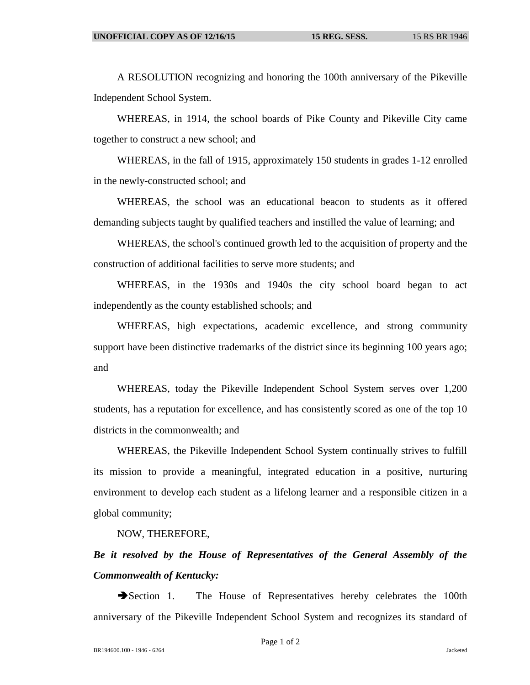A RESOLUTION recognizing and honoring the 100th anniversary of the Pikeville Independent School System.

WHEREAS, in 1914, the school boards of Pike County and Pikeville City came together to construct a new school; and

WHEREAS, in the fall of 1915, approximately 150 students in grades 1-12 enrolled in the newly-constructed school; and

WHEREAS, the school was an educational beacon to students as it offered demanding subjects taught by qualified teachers and instilled the value of learning; and

WHEREAS, the school's continued growth led to the acquisition of property and the construction of additional facilities to serve more students; and

WHEREAS, in the 1930s and 1940s the city school board began to act independently as the county established schools; and

WHEREAS, high expectations, academic excellence, and strong community support have been distinctive trademarks of the district since its beginning 100 years ago; and

WHEREAS, today the Pikeville Independent School System serves over 1,200 students, has a reputation for excellence, and has consistently scored as one of the top 10 districts in the commonwealth; and

WHEREAS, the Pikeville Independent School System continually strives to fulfill its mission to provide a meaningful, integrated education in a positive, nurturing environment to develop each student as a lifelong learner and a responsible citizen in a global community;

NOW, THEREFORE,

*Be it resolved by the House of Representatives of the General Assembly of the Commonwealth of Kentucky:*

Section 1. The House of Representatives hereby celebrates the 100th anniversary of the Pikeville Independent School System and recognizes its standard of